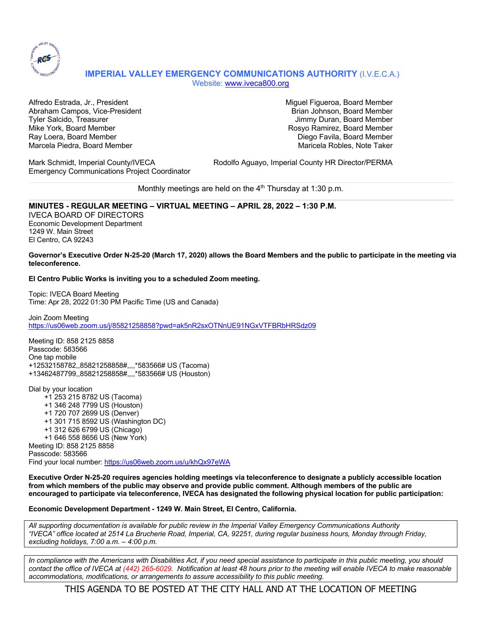

## **IMPERIAL VALLEY EMERGENCY COMMUNICATIONS AUTHORITY** (I.V.E.C.A.) Website: www.iveca800.org

Alfredo Estrada, Jr., President Miguel Figueroa, Board Member Abraham Campos, Vice-President Brian Johnson, Board Member Brian Johnson, Board Member Tyler Salcido, Treasurer Jimmy Duran, Board Member Mike York, Board Member Rosyo Ramirez, Board Member Ray Loera, Board Member Diego Favila, Board Member Marcela Piedra, Board Member Maricela Robles, Note Taker

Emergency Communications Project Coordinator

Mark Schmidt, Imperial County/IVECA Rodolfo Aguayo, Imperial County HR Director/PERMA

Monthly meetings are held on the  $4<sup>th</sup>$  Thursday at 1:30 p.m.

### **MINUTES - REGULAR MEETING – VIRTUAL MEETING – APRIL 28, 2022 – 1:30 P.M.**

IVECA BOARD OF DIRECTORS Economic Development Department 1249 W. Main Street El Centro, CA 92243

#### **Governor's Executive Order N-25-20 (March 17, 2020) allows the Board Members and the public to participate in the meeting via teleconference.**

**El Centro Public Works is inviting you to a scheduled Zoom meeting.**

Topic: IVECA Board Meeting Time: Apr 28, 2022 01:30 PM Pacific Time (US and Canada)

Join Zoom Meeting https://us06web.zoom.us/j/85821258858?pwd=ak5nR2sxOTNnUE91NGxVTFBRbHRSdz09

Meeting ID: 858 2125 8858 Passcode: 583566 One tap mobile +12532158782,,85821258858#,,,,\*583566# US (Tacoma) +13462487799,,85821258858#,,,,\*583566# US (Houston)

Dial by your location +1 253 215 8782 US (Tacoma) +1 346 248 7799 US (Houston) +1 720 707 2699 US (Denver) +1 301 715 8592 US (Washington DC) +1 312 626 6799 US (Chicago) +1 646 558 8656 US (New York) Meeting ID: 858 2125 8858 Passcode: 583566 Find your local number: https://us06web.zoom.us/u/khQx97eWA

**Executive Order N-25-20 requires agencies holding meetings via teleconference to designate a publicly accessible location from which members of the public may observe and provide public comment. Although members of the public are encouraged to participate via teleconference, IVECA has designated the following physical location for public participation:**

#### **Economic Development Department - 1249 W. Main Street, El Centro, California.**

*All supporting documentation is available for public review in the Imperial Valley Emergency Communications Authority "IVECA" office located at 2514 La Brucherie Road, Imperial, CA, 92251, during regular business hours, Monday through Friday, excluding holidays, 7:00 a.m. – 4:00 p.m.*

*In compliance with the Americans with Disabilities Act, if you need special assistance to participate in this public meeting, you should contact the office of IVECA at (442) 265-6029. Notification at least 48 hours prior to the meeting will enable IVECA to make reasonable accommodations, modifications, or arrangements to assure accessibility to this public meeting.*

THIS AGENDA TO BE POSTED AT THE CITY HALL AND AT THE LOCATION OF MEETING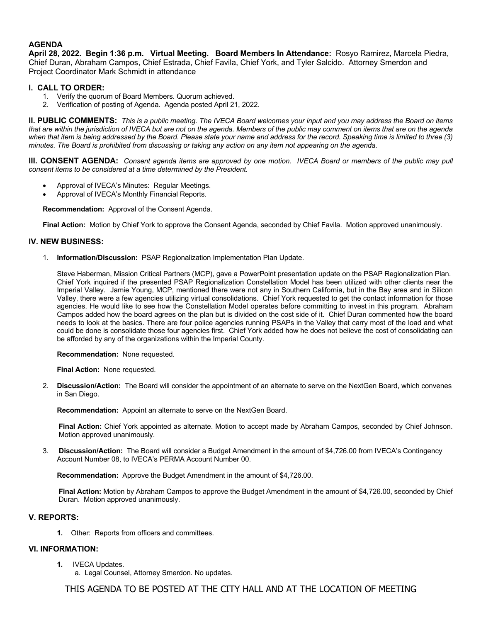### **AGENDA**

**April 28, 2022. Begin 1:36 p.m. Virtual Meeting. Board Members In Attendance:** Rosyo Ramirez, Marcela Piedra, Chief Duran, Abraham Campos, Chief Estrada, Chief Favila, Chief York, and Tyler Salcido. Attorney Smerdon and Project Coordinator Mark Schmidt in attendance

### **I. CALL TO ORDER:**

- 1. Verify the quorum of Board Members. Quorum achieved.
- 2. Verification of posting of Agenda. Agenda posted April 21, 2022.

**II. PUBLIC COMMENTS:** *This is a public meeting. The IVECA Board welcomes your input and you may address the Board on items that are within the jurisdiction of IVECA but are not on the agenda. Members of the public may comment on items that are on the agenda when that item is being addressed by the Board. Please state your name and address for the record. Speaking time is limited to three (3) minutes. The Board is prohibited from discussing or taking any action on any item not appearing on the agenda.* 

**III. CONSENT AGENDA:** *Consent agenda items are approved by one motion. IVECA Board or members of the public may pull consent items to be considered at a time determined by the President.*

- Approval of IVECA's Minutes: Regular Meetings.
- Approval of IVECA's Monthly Financial Reports.

**Recommendation:** Approval of the Consent Agenda.

**Final Action:** Motion by Chief York to approve the Consent Agenda, seconded by Chief Favila. Motion approved unanimously.

### **IV. NEW BUSINESS:**

1. **Information/Discussion:** PSAP Regionalization Implementation Plan Update.

Steve Haberman, Mission Critical Partners (MCP), gave a PowerPoint presentation update on the PSAP Regionalization Plan. Chief York inquired if the presented PSAP Regionalization Constellation Model has been utilized with other clients near the Imperial Valley. Jamie Young, MCP, mentioned there were not any in Southern California, but in the Bay area and in Silicon Valley, there were a few agencies utilizing virtual consolidations. Chief York requested to get the contact information for those agencies. He would like to see how the Constellation Model operates before committing to invest in this program. Abraham Campos added how the board agrees on the plan but is divided on the cost side of it. Chief Duran commented how the board needs to look at the basics. There are four police agencies running PSAPs in the Valley that carry most of the load and what could be done is consolidate those four agencies first. Chief York added how he does not believe the cost of consolidating can be afforded by any of the organizations within the Imperial County.

**Recommendation:** None requested.

**Final Action:** None requested.

2. **Discussion/Action:** The Board will consider the appointment of an alternate to serve on the NextGen Board, which convenes in San Diego.

**Recommendation:** Appoint an alternate to serve on the NextGen Board.

**Final Action:** Chief York appointed as alternate. Motion to accept made by Abraham Campos, seconded by Chief Johnson. Motion approved unanimously.

3. **Discussion/Action:** The Board will consider a Budget Amendment in the amount of \$4,726.00 from IVECA's Contingency Account Number 08, to IVECA's PERMA Account Number 00.

**Recommendation:** Approve the Budget Amendment in the amount of \$4,726.00.

**Final Action:** Motion by Abraham Campos to approve the Budget Amendment in the amount of \$4,726.00, seconded by Chief Duran. Motion approved unanimously.

#### **V. REPORTS:**

**1.** Other: Reports from officers and committees.

#### **VI. INFORMATION:**

- **1.** IVECA Updates.
	- a. Legal Counsel, Attorney Smerdon. No updates.

THIS AGENDA TO BE POSTED AT THE CITY HALL AND AT THE LOCATION OF MEETING